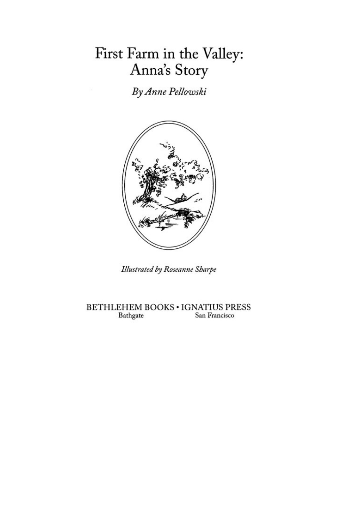# First Farm in the Valley: Anna's Story

By Anne Pellowski



**Illustrated by Roseanne Sharpe** 

BETHLEHEM BOOKS . IGNATIUS PRESS Bathgate San Francisco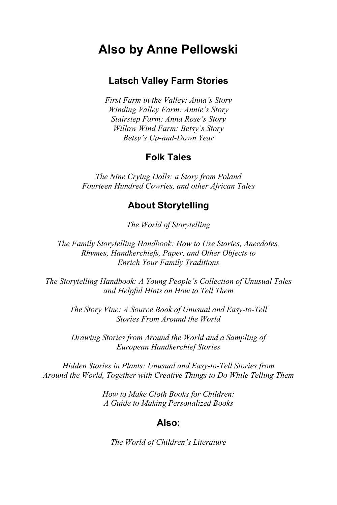### **Also by Anne Pellowski**

#### **Latsch Valley Farm Stories**

*First Farm in the Valley: Anna's Story Winding Valley Farm: Annie's Story Stairstep Farm: Anna Rose's Story Willow Wind Farm: Betsy's Story Betsy's Up-and-Down Year* 

#### **Folk Tales**

*The Nine Crying Dolls: a Story from Poland Fourteen Hundred Cowries, and other African Tales* 

#### **About Storytelling**

*The World of Storytelling* 

*The Family Storytelling Handbook: How to Use Stories, Anecdotes, Rhymes, Handkerchiefs, Paper, and Other Objects to Enrich Your Family Traditions* 

*The Storytelling Handbook: A Young People's Collection of Unusual Tales and Helpful Hints on How to Tell Them* 

> *The Story Vine: A Source Book of Unusual and Easy-to-Tell Stories From Around the World*

> *Drawing Stories from Around the World and a Sampling of European Handkerchief Stories*

*Hidden Stories in Plants: Unusual and Easy-to-Tell Stories from Around the World, Together with Creative Things to Do While Telling Them* 

> *How to Make Cloth Books for Children: A Guide to Making Personalized Books*

#### **Also:**

*The World of Children's Literature*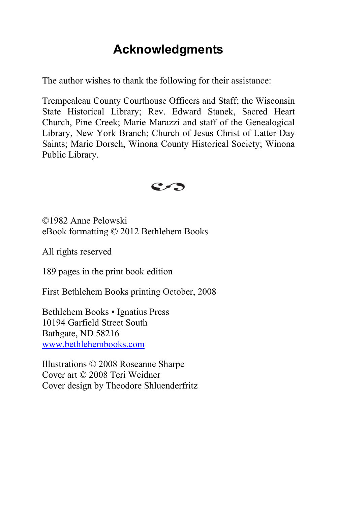## **Acknowledgments**

<span id="page-2-0"></span>The author wishes to thank the following for their assistance:

Trempealeau County Courthouse Officers and Staff; the Wisconsin State Historical Library; Rev. Edward Stanek, Sacred Heart Church, Pine Creek; Marie Marazzi and staff of the Genealogical Library, New York Branch; Church of Jesus Christ of Latter Day Saints; Marie Dorsch, Winona County Historical Society; Winona Public Library.



©1982 Anne Pelowski eBook formatting © 2012 Bethlehem Books

All rights reserved

189 pages in the print book edition

First Bethlehem Books printing October, 2008

Bethlehem Books • Ignatius Press 10194 Garfield Street South Bathgate, ND 58216 [www.bethlehembooks.com](http://www.bethlehembooks.com/)

Illustrations © 2008 Roseanne Sharpe Cover art © 2008 Teri Weidner Cover design by Theodore Shluenderfritz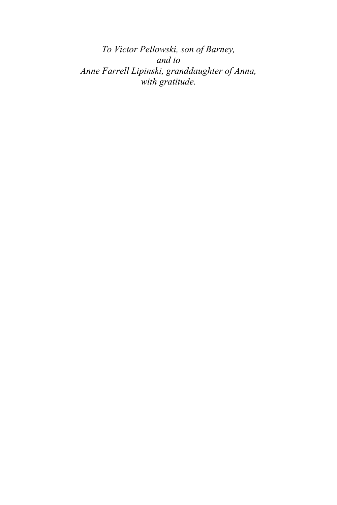*To Victor Pellowski, son of Barney, and to Anne Farrell Lipinski, granddaughter of Anna, with gratitude.*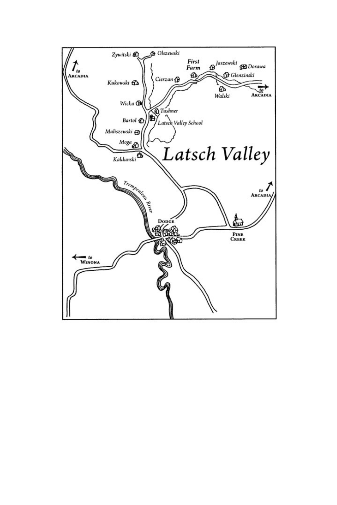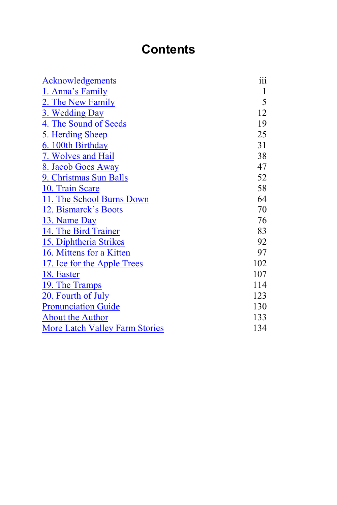# **Contents**

| <b>Acknowledgements</b>               | iii |
|---------------------------------------|-----|
| 1. Anna's Family                      | 1   |
| 2. The New Family                     | 5   |
| 3. Wedding Day                        | 12  |
| 4. The Sound of Seeds                 | 19  |
| 5. Herding Sheep                      | 25  |
| 6. 100th Birthday                     | 31  |
| 7. Wolves and Hail                    | 38  |
| 8. Jacob Goes Away                    | 47  |
| 9. Christmas Sun Balls                | 52  |
| 10. Train Scare                       | 58  |
| 11. The School Burns Down             | 64  |
| 12. Bismarck's Boots                  | 70  |
| 13. Name Day                          | 76  |
| 14. The Bird Trainer                  | 83  |
| 15. Diphtheria Strikes                | 92  |
| 16. Mittens for a Kitten              | 97  |
| 17. Ice for the Apple Trees           | 102 |
| 18. Easter                            | 107 |
| 19. The Tramps                        | 114 |
| 20. Fourth of July                    | 123 |
| <b>Pronunciation Guide</b>            | 130 |
| <b>About the Author</b>               | 133 |
| <b>More Latch Valley Farm Stories</b> | 134 |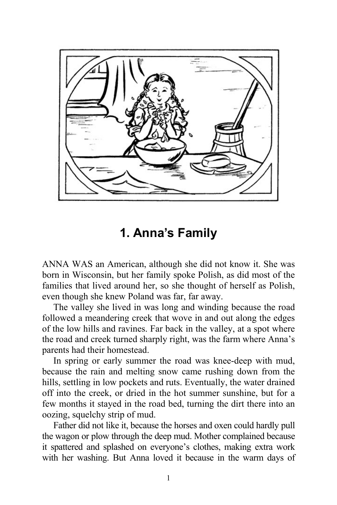<span id="page-6-0"></span>

### **1. Anna's Family**

ANNA WAS an American, although she did not know it. She was born in Wisconsin, but her family spoke Polish, as did most of the families that lived around her, so she thought of herself as Polish, even though she knew Poland was far, far away.

The valley she lived in was long and winding because the road followed a meandering creek that wove in and out along the edges of the low hills and ravines. Far back in the valley, at a spot where the road and creek turned sharply right, was the farm where Anna's parents had their homestead.

In spring or early summer the road was knee-deep with mud, because the rain and melting snow came rushing down from the hills, settling in low pockets and ruts. Eventually, the water drained off into the creek, or dried in the hot summer sunshine, but for a few months it stayed in the road bed, turning the dirt there into an oozing, squelchy strip of mud.

Father did not like it, because the horses and oxen could hardly pull the wagon or plow through the deep mud. Mother complained because it spattered and splashed on everyone's clothes, making extra work with her washing. But Anna loved it because in the warm days of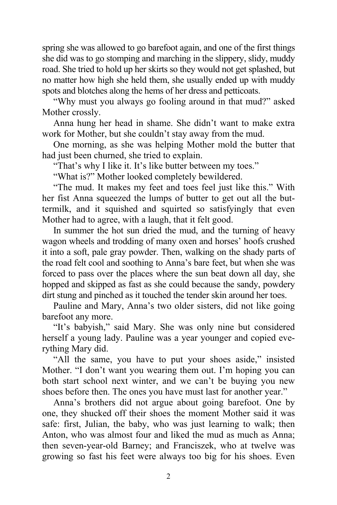spring she was allowed to go barefoot again, and one of the first things she did was to go stomping and marching in the slippery, slidy, muddy road. She tried to hold up her skirts so they would not get splashed, but no matter how high she held them, she usually ended up with muddy spots and blotches along the hems of her dress and petticoats.

"Why must you always go fooling around in that mud?" asked Mother crossly.

Anna hung her head in shame. She didn't want to make extra work for Mother, but she couldn't stay away from the mud.

One morning, as she was helping Mother mold the butter that had just been churned, she tried to explain.

"That's why I like it. It's like butter between my toes."

"What is?" Mother looked completely bewildered.

"The mud. It makes my feet and toes feel just like this." With her fist Anna squeezed the lumps of butter to get out all the buttermilk, and it squished and squirted so satisfyingly that even Mother had to agree, with a laugh, that it felt good.

In summer the hot sun dried the mud, and the turning of heavy wagon wheels and trodding of many oxen and horses' hoofs crushed it into a soft, pale gray powder. Then, walking on the shady parts of the road felt cool and soothing to Anna's bare feet, but when she was forced to pass over the places where the sun beat down all day, she hopped and skipped as fast as she could because the sandy, powdery dirt stung and pinched as it touched the tender skin around her toes.

Pauline and Mary, Anna's two older sisters, did not like going barefoot any more.

"It's babyish," said Mary. She was only nine but considered herself a young lady. Pauline was a year younger and copied everything Mary did.

"All the same, you have to put your shoes aside," insisted Mother. "I don't want you wearing them out. I'm hoping you can both start school next winter, and we can't be buying you new shoes before then. The ones you have must last for another year."

Anna's brothers did not argue about going barefoot. One by one, they shucked off their shoes the moment Mother said it was safe: first, Julian, the baby, who was just learning to walk; then Anton, who was almost four and liked the mud as much as Anna; then seven-year-old Barney; and Franciszek, who at twelve was growing so fast his feet were always too big for his shoes. Even